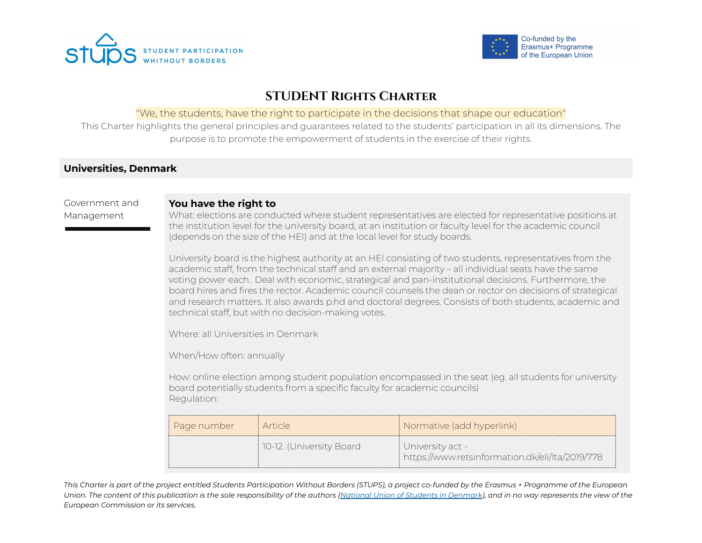



# **STUDENT Rights Charter**

### "We, the students, have the right to participate in the decisions that shape our education"

This Charter highlights the general principles and guarantees related to the students' participation in all its dimensions. The purpose is to promote the empowerment of students in the exercise of their rights.

## **Universities, Denmark**

### Government and Management

#### **You have the right to**

What: elections are conducted where student representatives are elected for representative positions at the institution level for the university board, at an institution or faculty level for the academic council (depends on the size of the HEI) and at the local level for study boards.

University board is the highest authority at an HEI consisting of two students, representatives from the academic staff, from the technical staff and an external majority – all individual seats have the same voting power each.. Deal with economic, strategical and pan-institutional decisions. Furthermore, the board hires and fires the rector. Academic council counsels the dean or rector on decisions of strategical and research matters. It also awards p.hd and doctoral degrees. Consists of both students, academic and technical staff, but with no decision-making votes.

Where: all Universities in Denmark

When/How often: annually

How: online election among student population encompassed in the seat (eg. all students for university board potentially students from a specific faculty for academic councils) Regulation:

| i Page number | i Article                | Normative (add hyperlink)                                             |
|---------------|--------------------------|-----------------------------------------------------------------------|
|               | 10-12. (University Board | ∣ University act -<br>https://www.retsinformation.dk/eli/lta/2019/778 |

This Charter is part of the project entitled Students Participation Without Borders (STUPS), a project co-funded by the Erasmus + Programme of the European Union. The content of this publication is the sole responsibility of the authors (National Union of Students in [Denmark](http://www.dsfnet.dk/)), and in no way represents the view of the *European Commission or its services.*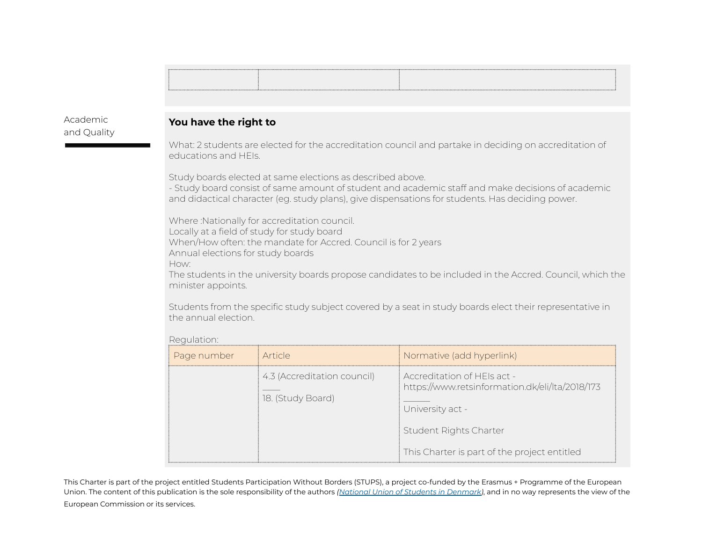Academic and Quality

### **You have the right to**

What: 2 students are elected for the accreditation council and partake in deciding on accreditation of educations and HEIs.

Study boards elected at same elections as described above.

- Study board consist of same amount of student and academic staff and make decisions of academic and didactical character (eg. study plans), give dispensations for students. Has deciding power.

Where :Nationally for accreditation council. Locally at a field of study for study board When/How often: the mandate for Accred. Council is for 2 years Annual elections for study boards How:

The students in the university boards propose candidates to be included in the Accred. Council, which the minister appoints.

Students from the specific study subject covered by a seat in study boards elect their representative in the annual election.

#### Regulation:

| Page number | Article                                          | Normative (add hyperlink)                                                                                                                                                    |
|-------------|--------------------------------------------------|------------------------------------------------------------------------------------------------------------------------------------------------------------------------------|
|             | 4.3 (Accreditation council)<br>18. (Study Board) | Accreditation of HFIs act -<br>https://www.retsinformation.dk/eli/lta/2018/173<br>University act -<br>Student Rights Charter<br>This Charter is part of the project entitled |

This Charter is part of the project entitled Students Participation Without Borders (STUPS), a project co-funded by the Erasmus + Programme of the European Union. The content of this publication is the sole responsibility of the authors *(National Union of Students in [Denmark\)](http://www.dsfnet.dk/)*, and in no way represents the view of the European Commission or its services.